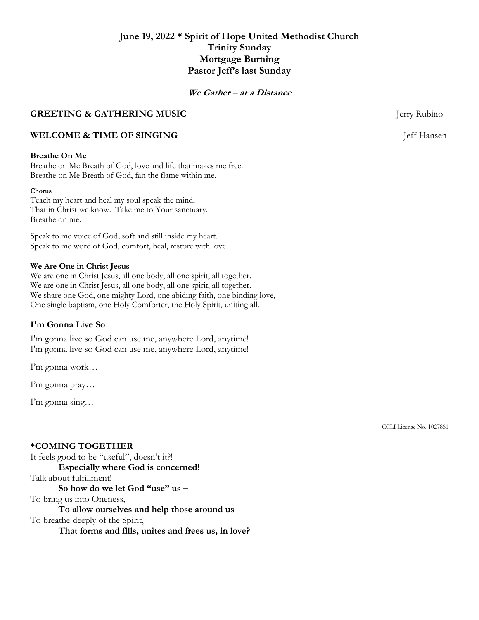# **June 19, 2022 \* Spirit of Hope United Methodist Church Trinity Sunday Mortgage Burning Pastor Jeff's last Sunday**

## **We Gather – at a Distance**

# **GREETING & GATHERING MUSIC GREETING & GATHERING MUSIC**

# **WELCOME & TIME OF SINGING** Jeff Hansen

# **Breathe On Me**

Breathe on Me Breath of God, love and life that makes me free. Breathe on Me Breath of God, fan the flame within me.

#### **Chorus**

Teach my heart and heal my soul speak the mind, That in Christ we know. Take me to Your sanctuary. Breathe on me.

Speak to me voice of God, soft and still inside my heart. Speak to me word of God, comfort, heal, restore with love.

#### **We Are One in Christ Jesus**

We are one in Christ Jesus, all one body, all one spirit, all together. We are one in Christ Jesus, all one body, all one spirit, all together. We share one God, one mighty Lord, one abiding faith, one binding love, One single baptism, one Holy Comforter, the Holy Spirit, uniting all.

#### **I'm Gonna Live So**

I'm gonna live so God can use me, anywhere Lord, anytime! I'm gonna live so God can use me, anywhere Lord, anytime!

I'm gonna work…

I'm gonna pray…

I'm gonna sing…

### **\*COMING TOGETHER**

It feels good to be "useful", doesn't it?! **Especially where God is concerned!** Talk about fulfillment! **So how do we let God "use" us –** To bring us into Oneness, **To allow ourselves and help those around us** To breathe deeply of the Spirit,

**That forms and fills, unites and frees us, in love?**

CCLI License No. 1027861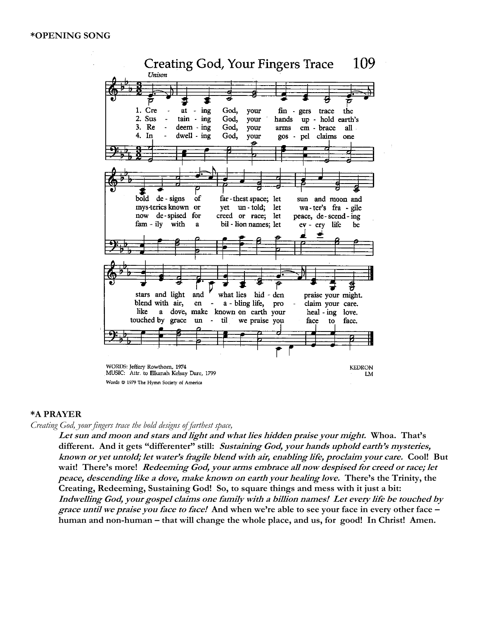

#### **\*A PRAYER**

#### *Creating God, your fingers trace the bold designs of farthest space,*

**Let sun and moon and stars and light and what lies hidden praise your might. Whoa. That's different. And it gets "differenter" still: Sustaining God, your hands uphold earth's mysteries, known or yet untold; let water's fragile blend with air, enabling life, proclaim your care. Cool! But wait! There's more! Redeeming God, your arms embrace all now despised for creed or race; let peace, descending like a dove, make known on earth your healing love. There's the Trinity, the Creating, Redeeming, Sustaining God! So, to square things and mess with it just a bit: Indwelling God, your gospel claims one family with a billion names! Let every life be touched by grace until we praise you face to face! And when we're able to see your face in every other face – human and non-human – that will change the whole place, and us, for good! In Christ! Amen.**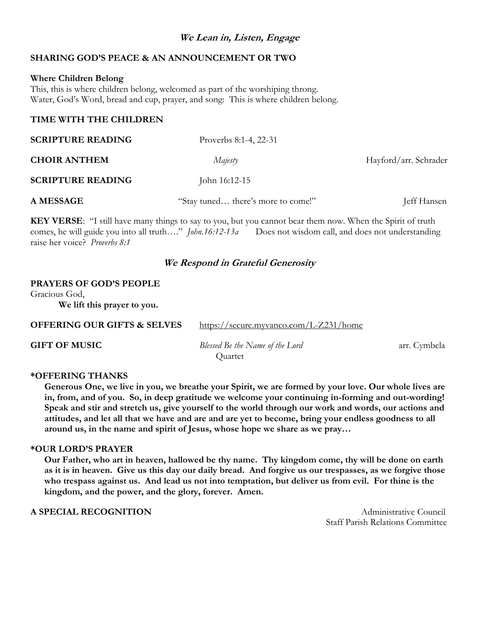# **We Lean in, Listen, Engage**

# **SHARING GOD'S PEACE & AN ANNOUNCEMENT OR TWO**

### **Where Children Belong**

This, this is where children belong, welcomed as part of the worshiping throng. Water, God's Word, bread and cup, prayer, and song: This is where children belong.

# **TIME WITH THE CHILDREN**

| <b>SCRIPTURE READING</b> | Proverbs 8:1-4, 22-31              |                       |
|--------------------------|------------------------------------|-----------------------|
| <b>CHOIR ANTHEM</b>      | Majesty                            | Hayford/arr. Schrader |
| <b>SCRIPTURE READING</b> | John 16:12-15                      |                       |
| <b>A MESSAGE</b>         | "Stay tuned there's more to come!" | Jeff Hansen           |

**KEY VERSE**: "I still have many things to say to you, but you cannot bear them now. When the Spirit of truth comes, he will guide you into all truth…." *John.16:12-13a* Does not wisdom call, and does not understanding raise her voice? *Proverbs 8:1*

# **We Respond in Grateful Generosity**

#### **PRAYERS OF GOD'S PEOPLE**

Gracious God, **We lift this prayer to you.**

**OFFERING OUR GIFTS & SELVES** <https://secure.myvanco.com/L-Z231/home>

**GIFT OF MUSIC** *Blessed Be the Name of the Lord* arr. Cymbela **Quartet** 

# **\*OFFERING THANKS**

**Generous One, we live in you, we breathe your Spirit, we are formed by your love. Our whole lives are in, from, and of you. So, in deep gratitude we welcome your continuing in-forming and out-wording! Speak and stir and stretch us, give yourself to the world through our work and words, our actions and attitudes, and let all that we have and are and are yet to become, bring your endless goodness to all around us, in the name and spirit of Jesus, whose hope we share as we pray…**

#### **\*OUR LORD'S PRAYER**

**Our Father, who art in heaven, hallowed be thy name. Thy kingdom come, thy will be done on earth as it is in heaven. Give us this day our daily bread. And forgive us our trespasses, as we forgive those who trespass against us. And lead us not into temptation, but deliver us from evil. For thine is the kingdom, and the power, and the glory, forever. Amen.**

# **A SPECIAL RECOGNITION Administrative Council**

Staff Parish Relations Committee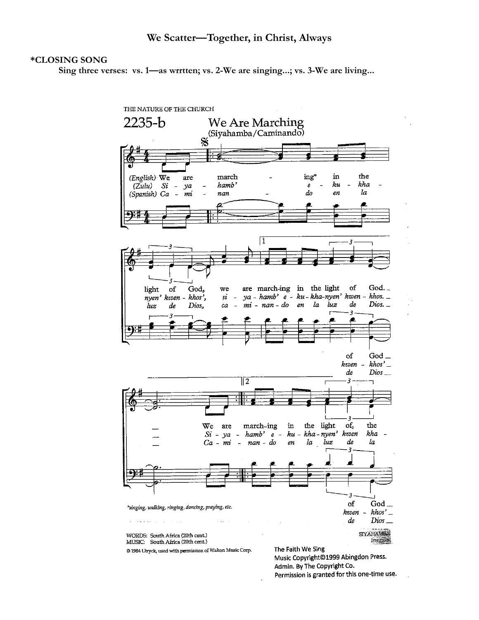## **\*CLOSING SONG**

**Sing three verses: vs. 1—as wrrtten; vs. 2-We are singing...; vs. 3-We are living...**



Admin. By The Copyright Co. Permission is granted for this one-time use.